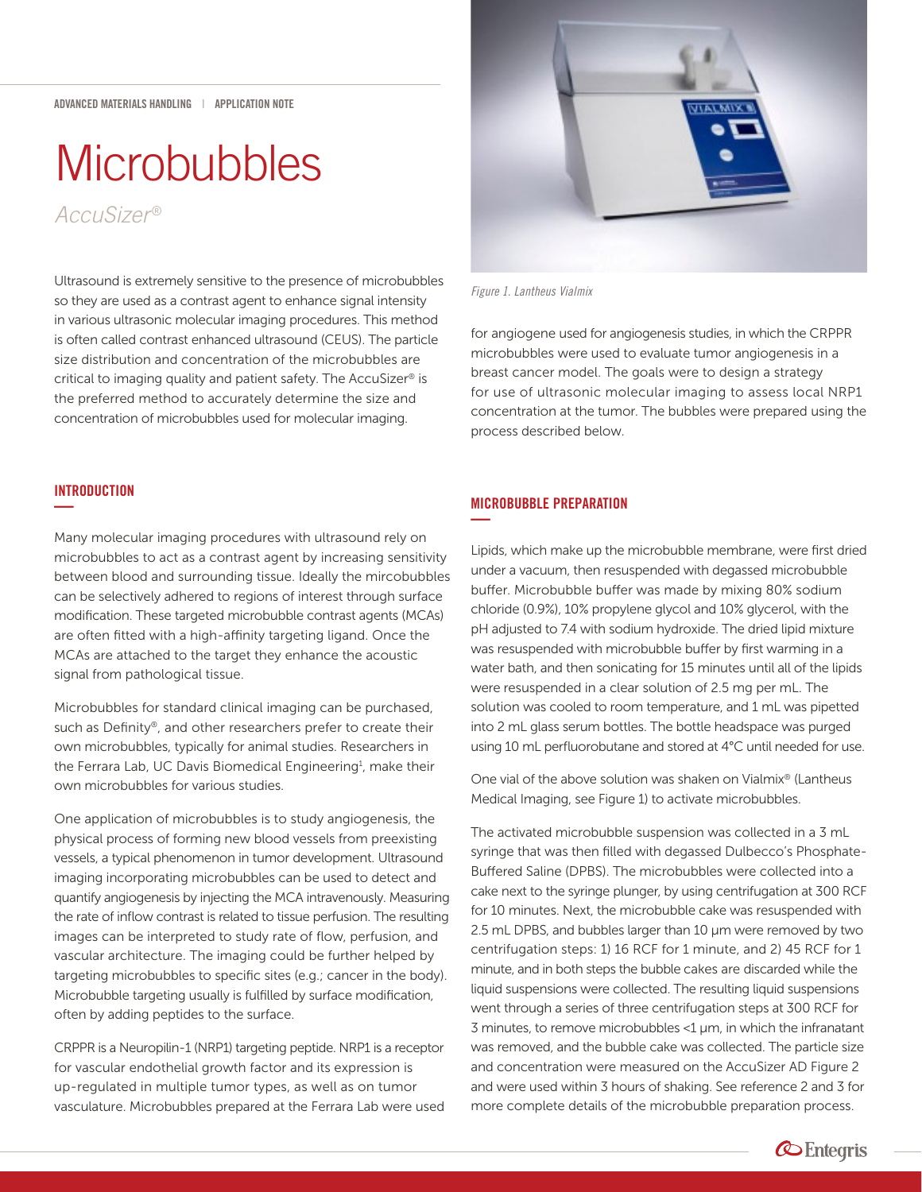# **Microbubbles**

*AccuSizer*  ®

Ultrasound is extremely sensitive to the presence of microbubbles so they are used as a contrast agent to enhance signal intensity in various ultrasonic molecular imaging procedures. This method is often called contrast enhanced ultrasound (CEUS). The particle size distribution and concentration of the microbubbles are critical to imaging quality and patient safety. The AccuSizer® is the preferred method to accurately determine the size and concentration of microbubbles used for molecular imaging.



Many molecular imaging procedures with ultrasound rely on microbubbles to act as a contrast agent by increasing sensitivity between blood and surrounding tissue. Ideally the mircobubbles can be selectively adhered to regions of interest through surface modification. These targeted microbubble contrast agents (MCAs) are often fitted with a high-affinity targeting ligand. Once the MCAs are attached to the target they enhance the acoustic signal from pathological tissue.

Microbubbles for standard clinical imaging can be purchased, such as Definity®, and other researchers prefer to create their own microbubbles, typically for animal studies. Researchers in the Ferrara Lab, UC Davis Biomedical Engineering<sup>1</sup>, make their own microbubbles for various studies.

One application of microbubbles is to study angiogenesis, the physical process of forming new blood vessels from preexisting vessels, a typical phenomenon in tumor development. Ultrasound imaging incorporating microbubbles can be used to detect and quantify angiogenesis by injecting the MCA intravenously. Measuring the rate of inflow contrast is related to tissue perfusion. The resulting images can be interpreted to study rate of flow, perfusion, and vascular architecture. The imaging could be further helped by targeting microbubbles to specific sites (e.g.; cancer in the body). Microbubble targeting usually is fulfilled by surface modification, often by adding peptides to the surface.

CRPPR is a Neuropilin-1 (NRP1) targeting peptide. NRP1 is a receptor for vascular endothelial growth factor and its expression is up-regulated in multiple tumor types, as well as on tumor vasculature. Microbubbles prepared at the Ferrara Lab were used



*Figure 1. Lantheus Vialmix*

for angiogene used for angiogenesis studies, in which the CRPPR microbubbles were used to evaluate tumor angiogenesis in a breast cancer model. The goals were to design a strategy for use of ultrasonic molecular imaging to assess local NRP1 concentration at the tumor. The bubbles were prepared using the process described below.

# MICROBUBBLE PREPARATION **—**

Lipids, which make up the microbubble membrane, were first dried under a vacuum, then resuspended with degassed microbubble buffer. Microbubble buffer was made by mixing 80% sodium chloride (0.9%), 10% propylene glycol and 10% glycerol, with the pH adjusted to 7.4 with sodium hydroxide. The dried lipid mixture was resuspended with microbubble buffer by first warming in a water bath, and then sonicating for 15 minutes until all of the lipids were resuspended in a clear solution of 2.5 mg per mL. The solution was cooled to room temperature, and 1 mL was pipetted into 2 mL glass serum bottles. The bottle headspace was purged using 10 mL perfluorobutane and stored at 4°C until needed for use.

One vial of the above solution was shaken on Vialmix® (Lantheus Medical Imaging, see Figure 1) to activate microbubbles.

The activated microbubble suspension was collected in a 3 mL syringe that was then filled with degassed Dulbecco's Phosphate-Buffered Saline (DPBS). The microbubbles were collected into a cake next to the syringe plunger, by using centrifugation at 300 RCF for 10 minutes. Next, the microbubble cake was resuspended with 2.5 mL DPBS, and bubbles larger than 10 μm were removed by two centrifugation steps: 1) 16 RCF for 1 minute, and 2) 45 RCF for 1 minute, and in both steps the bubble cakes are discarded while the liquid suspensions were collected. The resulting liquid suspensions went through a series of three centrifugation steps at 300 RCF for 3 minutes, to remove microbubbles <1 μm, in which the infranatant was removed, and the bubble cake was collected. The particle size and concentration were measured on the AccuSizer AD Figure 2 and were used within 3 hours of shaking. See reference 2 and 3 for more complete details of the microbubble preparation process.